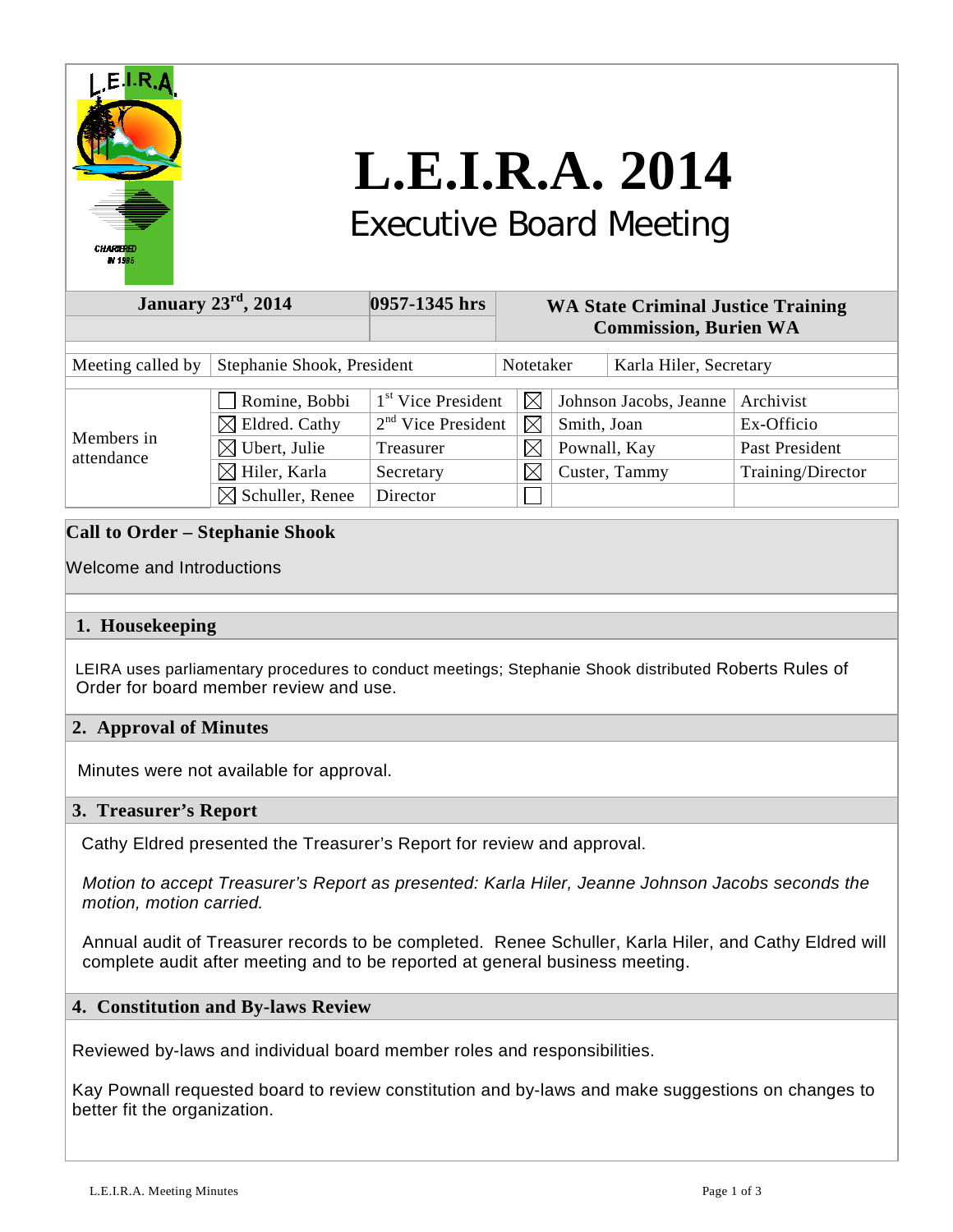

# **L.E.I.R.A. 2014**

# Executive Board Meeting

| January $23^{\text{rd}}$ , $2014$               |                                            | 0957-1345 hrs                                          | <b>WA State Criminal Justice Training</b><br><b>Commission, Burien WA</b> |                            |                                       |                        |                         |
|-------------------------------------------------|--------------------------------------------|--------------------------------------------------------|---------------------------------------------------------------------------|----------------------------|---------------------------------------|------------------------|-------------------------|
| Stephanie Shook, President<br>Meeting called by |                                            |                                                        | Notetaker                                                                 |                            |                                       | Karla Hiler, Secretary |                         |
| Members in<br>attendance                        | Romine, Bobbi<br>$\boxtimes$ Eldred. Cathy | 1 <sup>st</sup> Vice President<br>$2nd$ Vice President |                                                                           | $\boxtimes$<br>$\boxtimes$ | Johnson Jacobs, Jeanne<br>Smith, Joan |                        | Archivist<br>Ex-Officio |
|                                                 | $\boxtimes$ Ubert, Julie                   | Treasurer                                              |                                                                           | $\boxtimes$                | Pownall, Kay                          |                        | Past President          |
|                                                 | $\boxtimes$ Hiler, Karla                   | Secretary                                              |                                                                           | $\boxtimes$                | Custer, Tammy                         |                        | Training/Director       |
|                                                 | $\boxtimes$ Schuller, Renee                | Director                                               |                                                                           |                            |                                       |                        |                         |

# **Call to Order – Stephanie Shook**

# Welcome and Introductions

# **1. Housekeeping**

 LEIRA uses parliamentary procedures to conduct meetings; Stephanie Shook distributed Roberts Rules of Order for board member review and use.

# **2. Approval of Minutes**

Minutes were not available for approval.

#### **3. Treasurer's Report**

Cathy Eldred presented the Treasurer's Report for review and approval.

 *Motion to accept Treasurer's Report as presented: Karla Hiler, Jeanne Johnson Jacobs seconds the motion, motion carried.*

 Annual audit of Treasurer records to be completed. Renee Schuller, Karla Hiler, and Cathy Eldred will complete audit after meeting and to be reported at general business meeting.

#### **4. Constitution and By-laws Review**

Reviewed by-laws and individual board member roles and responsibilities.

Kay Pownall requested board to review constitution and by-laws and make suggestions on changes to better fit the organization.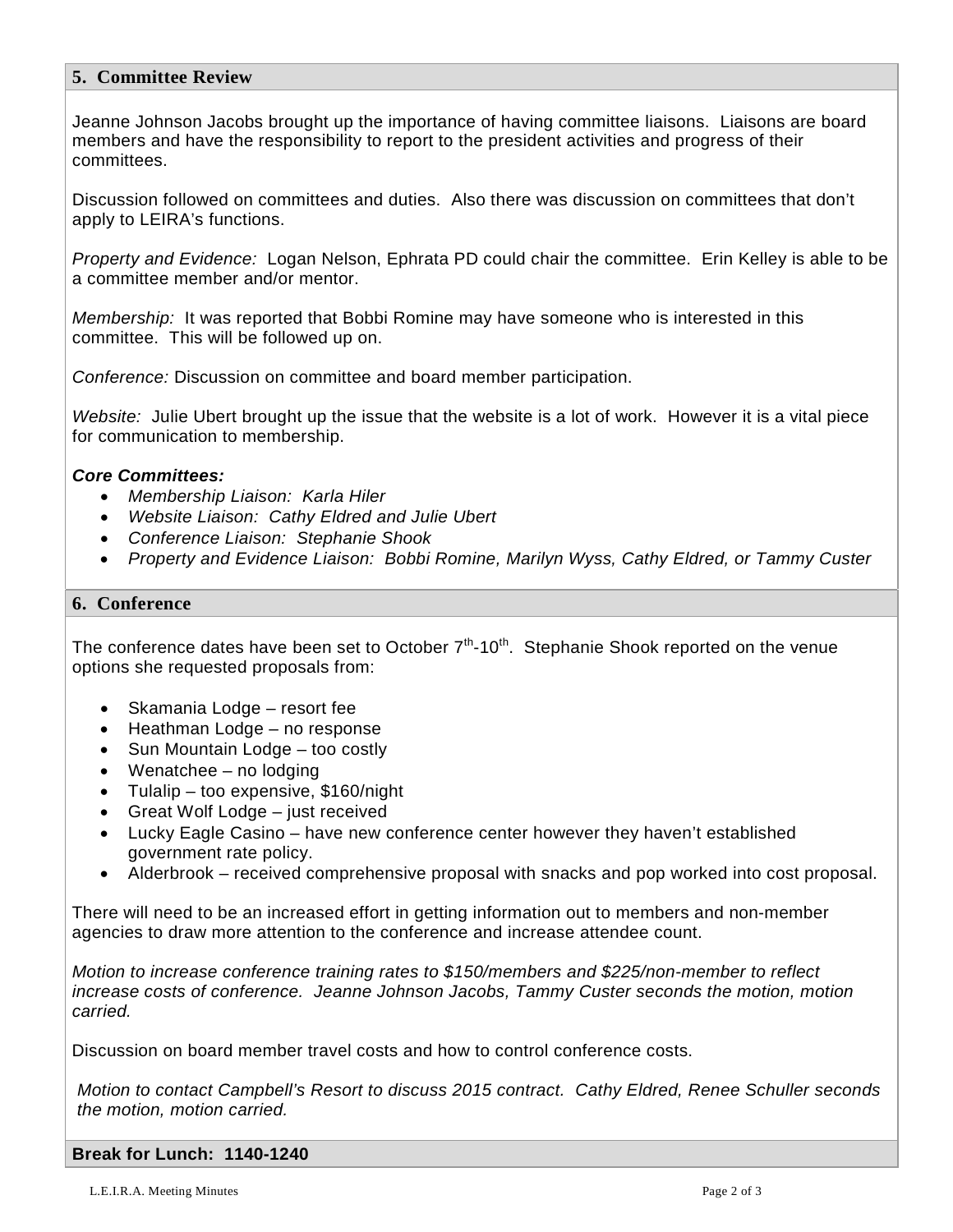## **5. Committee Review**

Jeanne Johnson Jacobs brought up the importance of having committee liaisons. Liaisons are board members and have the responsibility to report to the president activities and progress of their committees.

Discussion followed on committees and duties. Also there was discussion on committees that don't apply to LEIRA's functions.

*Property and Evidence:* Logan Nelson, Ephrata PD could chair the committee. Erin Kelley is able to be a committee member and/or mentor.

*Membership:* It was reported that Bobbi Romine may have someone who is interested in this committee. This will be followed up on.

*Conference:* Discussion on committee and board member participation.

*Website:* Julie Ubert brought up the issue that the website is a lot of work. However it is a vital piece for communication to membership.

## *Core Committees:*

- *Membership Liaison: Karla Hiler*
- *Website Liaison: Cathy Eldred and Julie Ubert*
- *Conference Liaison: Stephanie Shook*
- *Property and Evidence Liaison: Bobbi Romine, Marilyn Wyss, Cathy Eldred, or Tammy Custer*

#### **6. Conference**

The conference dates have been set to October  $7<sup>th</sup>$ -10<sup>th</sup>. Stephanie Shook reported on the venue options she requested proposals from:

- Skamania Lodge resort fee
- Heathman Lodge no response
- Sun Mountain Lodge too costly
- Wenatchee no lodging
- Tulalip too expensive, \$160/night
- Great Wolf Lodge just received
- Lucky Eagle Casino have new conference center however they haven't established government rate policy.
- Alderbrook received comprehensive proposal with snacks and pop worked into cost proposal.

There will need to be an increased effort in getting information out to members and non-member agencies to draw more attention to the conference and increase attendee count.

*Motion to increase conference training rates to \$150/members and \$225/non-member to reflect increase costs of conference. Jeanne Johnson Jacobs, Tammy Custer seconds the motion, motion carried.*

Discussion on board member travel costs and how to control conference costs.

*Motion to contact Campbell's Resort to discuss 2015 contract. Cathy Eldred, Renee Schuller seconds the motion, motion carried.*

#### **Break for Lunch: 1140-1240**